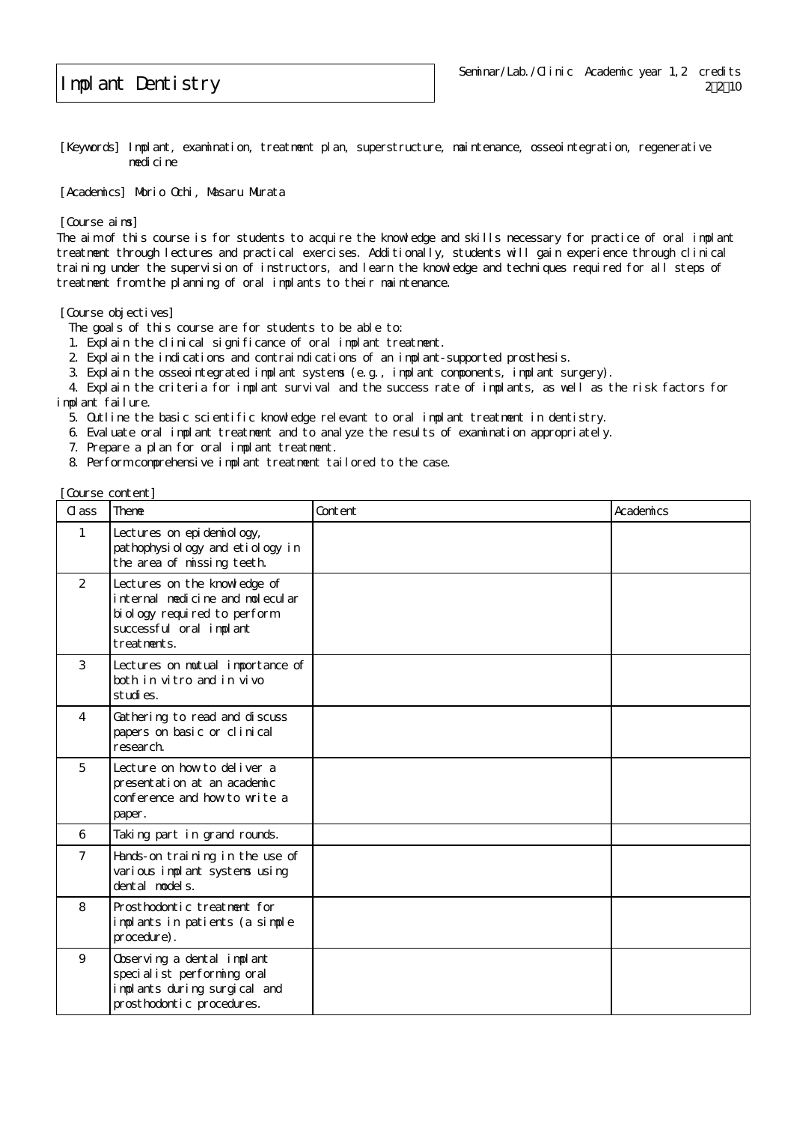## Implant Dentistry

[Keywords] Implant, examination, treatment plan, superstructure, maintenance, osseointegration, regenerative medicine

[Academics] Morio Ochi, Masaru Murata

[Course aims]

The aim of this course is for students to acquire the knowledge and skills necessary for practice of oral implant treatment through lectures and practical exercises. Additionally, students will gain experience through clinical training under the supervision of instructors, and learn the knowledge and techniques required for all steps of treatment from the planning of oral implants to their maintenance.

[Course objectives]

The goals of this course are for students to be able to:

- 1. Explain the clinical significance of oral implant treatment.
- 2. Explain the indications and contraindications of an implant-supported prosthesis.

3. Explain the osseointegrated implant systems (e.g., implant components, implant surgery).

 4. Explain the criteria for implant survival and the success rate of implants, as well as the risk factors for implant failure.

- 5. Outline the basic scientific knowledge relevant to oral implant treatment in dentistry.
- 6. Evaluate oral implant treatment and to analyze the results of examination appropriately.
- 7. Prepare a plan for oral implant treatment.
- 8. Perform comprehensive implant treatment tailored to the case.

[Course content]

| Cl ass         | Theme                                                                                                                                      | Content | Academics |
|----------------|--------------------------------------------------------------------------------------------------------------------------------------------|---------|-----------|
| $\mathbf{1}$   | Lectures on epi demi ol ogy,<br>pathophysiology and etiology in<br>the area of missing teeth.                                              |         |           |
| 2              | Lectures on the knowledge of<br>internal medicine and molecular<br>bi ol ogy required to perform<br>successful oral implant<br>treatments. |         |           |
| 3              | Lectures on mutual importance of<br>both in vitro and in vivo<br>studies.                                                                  |         |           |
| $\overline{4}$ | Gathering to read and discuss<br>papers on basic or clinical<br>research.                                                                  |         |           |
| 5              | Lecture on how to deliver a<br>presentation at an academic<br>conference and how to write a<br>paper.                                      |         |           |
| 6              | Taking part in grand rounds.                                                                                                               |         |           |
| $\overline{7}$ | Hands-on training in the use of<br>various implant systems using<br>dental model s.                                                        |         |           |
| 8              | Prosthodontic treatment for<br>implants in patients (a simple<br>procedure).                                                               |         |           |
| 9              | Observing a dental implant<br>specialist performing oral<br>implants during surgical and<br>prosthodontic procedures.                      |         |           |